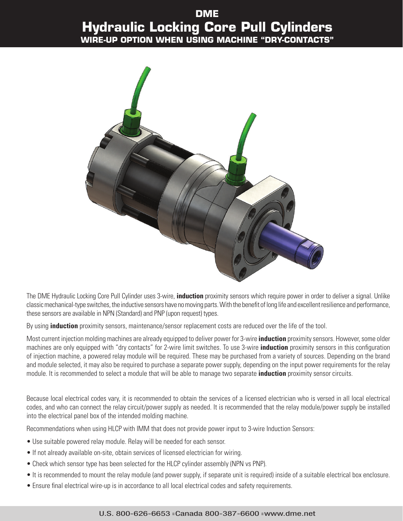## **DME Hydraulic Locking Core Pull Cylinders Wire-up Option When Using Machine "Dry-Contacts"**



The DME Hydraulic Locking Core Pull Cylinder uses 3-wire, **induction** proximity sensors which require power in order to deliver a signal. Unlike classic mechanical-type switches, the inductive sensors have no moving parts. With the benefit of long life and excellent resilience and performance, these sensors are available in NPN (Standard) and PNP (upon request) types.

By using **induction** proximity sensors, maintenance/sensor replacement costs are reduced over the life of the tool.

Most current injection molding machines are already equipped to deliver power for 3-wire **induction** proximity sensors. However, some older machines are only equipped with "dry contacts" for 2-wire limit switches. To use 3-wire **induction** proximity sensors in this configuration of injection machine, a powered relay module will be required. These may be purchased from a variety of sources. Depending on the brand and module selected, it may also be required to purchase a separate power supply, depending on the input power requirements for the relay module. It is recommended to select a module that will be able to manage two separate **induction** proximity sensor circuits.

Because local electrical codes vary, it is recommended to obtain the services of a licensed electrician who is versed in all local electrical codes, and who can connect the relay circuit/power supply as needed. It is recommended that the relay module/power supply be installed into the electrical panel box of the intended molding machine.

Recommendations when using HLCP with IMM that does not provide power input to 3-wire Induction Sensors:

- Use suitable powered relay module. Relay will be needed for each sensor.
- If not already available on-site, obtain services of licensed electrician for wiring.
- Check which sensor type has been selected for the HLCP cylinder assembly (NPN vs PNP).
- It is recommended to mount the relay module (and power supply, if separate unit is required) inside of a suitable electrical box enclosure.
- Ensure final electrical wire-up is in accordance to all local electrical codes and safety requirements.